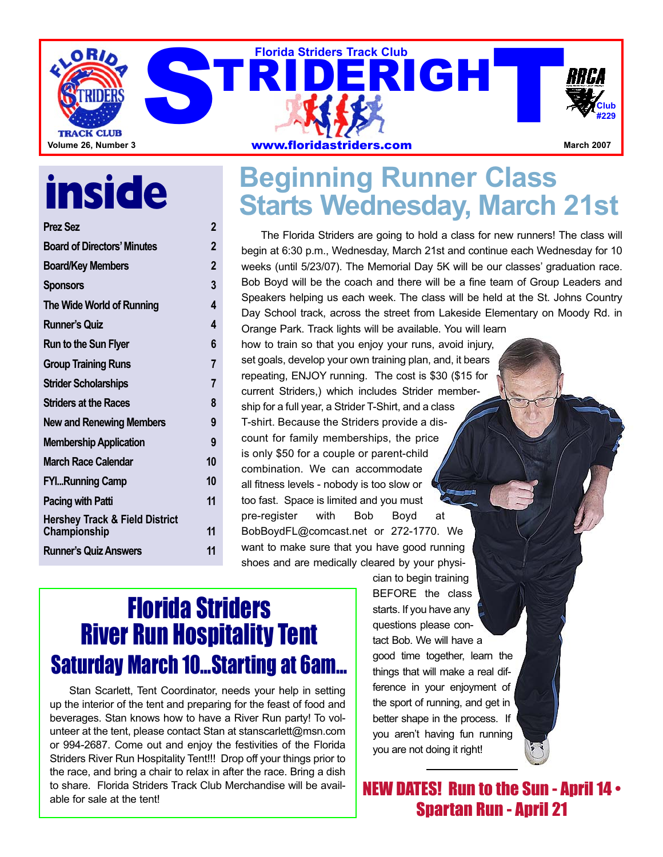

# **inside**

**Prez Sez 2**

| <b>Board of Directors' Minutes</b>        | 2              |
|-------------------------------------------|----------------|
| <b>Board/Key Members</b>                  | $\overline{2}$ |
| <b>Sponsors</b>                           | 3              |
| The Wide World of Running                 | 4              |
| <b>Runner's Quiz</b>                      | 4              |
| <b>Run to the Sun Flyer</b>               | 6              |
| <b>Group Training Runs</b>                | 7              |
| <b>Strider Scholarships</b>               | 7              |
| <b>Striders at the Races</b>              | 8              |
| <b>New and Renewing Members</b>           | 9              |
| <b>Membership Application</b>             | 9              |
| <b>March Race Calendar</b>                | 10             |
| <b>FYIRunning Camp</b>                    | 10             |
| <b>Pacing with Patti</b>                  | 11             |
| <b>Hershey Track &amp; Field District</b> |                |
| Championship                              | 11             |
| <b>Runner's Quiz Answers</b>              | 11             |
|                                           |                |

## **Beginning Runner Class Starts Wednesday, March 21st**

The Florida Striders are going to hold a class for new runners! The class will begin at 6:30 p.m., Wednesday, March 21st and continue each Wednesday for 10 weeks (until 5/23/07). The Memorial Day 5K will be our classes' graduation race. Bob Boyd will be the coach and there will be a fine team of Group Leaders and Speakers helping us each week. The class will be held at the St. Johns Country Day School track, across the street from Lakeside Elementary on Moody Rd. in

Orange Park. Track lights will be available. You will learn how to train so that you enjoy your runs, avoid injury, set goals, develop your own training plan, and, it bears repeating, ENJOY running. The cost is \$30 (\$15 for current Striders,) which includes Strider membership for a full year, a Strider T-Shirt, and a class T-shirt. Because the Striders provide a discount for family memberships, the price is only \$50 for a couple or parent-child combination. We can accommodate all fitness levels - nobody is too slow or too fast. Space is limited and you must pre-register with Bob Boyd at BobBoydFL@comcast.net or 272-1770. We want to make sure that you have good running shoes and are medically cleared by your physi-

## Florida Striders River Run Hospitality Tent Saturday March 10…Starting at 6am…

Stan Scarlett, Tent Coordinator, needs your help in setting up the interior of the tent and preparing for the feast of food and beverages. Stan knows how to have a River Run party! To volunteer at the tent, please contact Stan at stanscarlett@msn.com or 994-2687. Come out and enjoy the festivities of the Florida Striders River Run Hospitality Tent!!! Drop off your things prior to the race, and bring a chair to relax in after the race. Bring a dish to share. Florida Striders Track Club Merchandise will be available for sale at the tent!

cian to begin training BEFORE the class starts. If you have any questions please contact Bob. We will have a good time together, learn the things that will make a real difference in your enjoyment of the sport of running, and get in better shape in the process. If you aren't having fun running you are not doing it right!

**NEW DATES! Run to the Sun - April 14 •** Spartan Run - April 21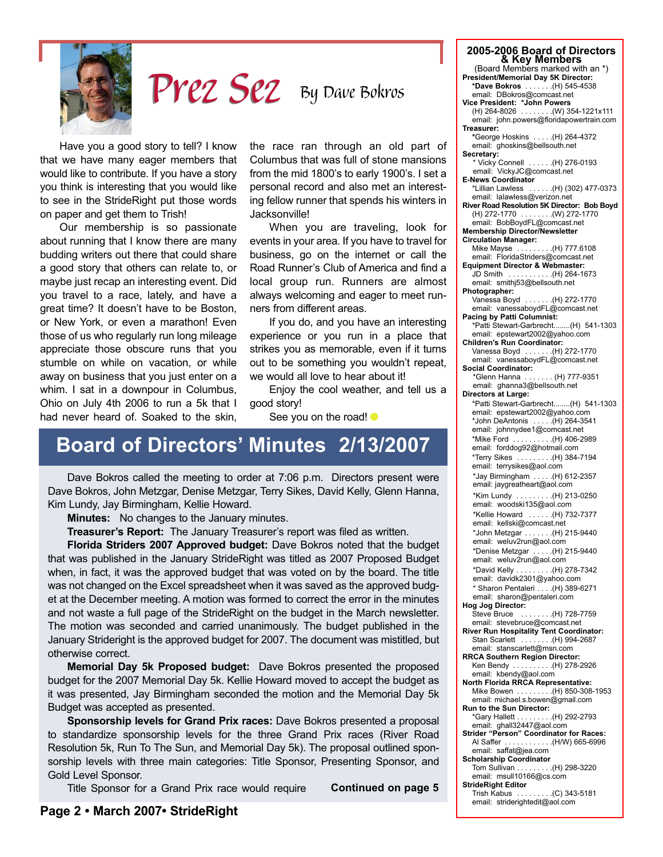

## By Dave Bokros Prez Sez

Have you a good story to tell? I know that we have many eager members that would like to contribute. If you have a story you think is interesting that you would like to see in the StrideRight put those words on paper and get them to Trish!

Our membership is so passionate about running that I know there are many budding writers out there that could share a good story that others can relate to, or maybe just recap an interesting event. Did you travel to a race, lately, and have a great time? It doesn't have to be Boston, or New York, or even a marathon! Even those of us who regularly run long mileage appreciate those obscure runs that you stumble on while on vacation, or while away on business that you just enter on a whim. I sat in a downpour in Columbus, Ohio on July 4th 2006 to run a 5k that I had never heard of. Soaked to the skin,

the race ran through an old part of Columbus that was full of stone mansions from the mid 1800's to early 1900's. I set a personal record and also met an interesting fellow runner that spends his winters in Jacksonville!

When you are traveling, look for events in your area. If you have to travel for business, go on the internet or call the Road Runner's Club of America and find a local group run. Runners are almost always welcoming and eager to meet runners from different areas.

If you do, and you have an interesting experience or you run in a place that strikes you as memorable, even if it turns out to be something you wouldn't repeat, we would all love to hear about it!

Enjoy the cool weather, and tell us a good story!

See you on the road!

## **Board of Directors' Minutes 2/13/2007**

Dave Bokros called the meeting to order at 7:06 p.m. Directors present were Dave Bokros, John Metzgar, Denise Metzgar, Terry Sikes, David Kelly, Glenn Hanna, Kim Lundy, Jay Birmingham, Kellie Howard.

**Minutes:** No changes to the January minutes.

**Treasurer's Report:** The January Treasurer's report was filed as written.

**Florida Striders 2007 Approved budget:** Dave Bokros noted that the budget that was published in the January StrideRight was titled as 2007 Proposed Budget when, in fact, it was the approved budget that was voted on by the board. The title was not changed on the Excel spreadsheet when it was saved as the approved budget at the December meeting. A motion was formed to correct the error in the minutes and not waste a full page of the StrideRight on the budget in the March newsletter. The motion was seconded and carried unanimously. The budget published in the January Strideright is the approved budget for 2007. The document was mistitled, but otherwise correct.

**Memorial Day 5k Proposed budget:** Dave Bokros presented the proposed budget for the 2007 Memorial Day 5k. Kellie Howard moved to accept the budget as it was presented, Jay Birmingham seconded the motion and the Memorial Day 5k Budget was accepted as presented.

**Sponsorship levels for Grand Prix races:** Dave Bokros presented a proposal to standardize sponsorship levels for the three Grand Prix races (River Road Resolution 5k, Run To The Sun, and Memorial Day 5k). The proposal outlined sponsorship levels with three main categories: Title Sponsor, Presenting Sponsor, and Gold Level Sponsor.

Title Sponsor for a Grand Prix race would require **Continued on page 5**

**\*Dave Bokros** . . . . . . .(H) 545-4538 email: DBokros@comcast.net **Vice President: \*John Powers** (H) 264-8026 . . . . . . . .(W) 354-1221x111 email: john.powers@floridapowertrain.com **Treasurer: \***George Hoskins . . . . .(H) 264-4372 email: ghoskins@bellsouth.net **Secretary:** \* Vicky Connell . . . . . .(H) 276-0193 email: VickyJC@comcast.net **E-News Coordinator** \*Lillian Lawless . . . . . .(H) (302) 477-0373 email: lalawless@verizon.net **River Road Resolution 5K Director: Bob Boyd** (H) 272-1770 . . . . . . . .(W) 272-1770 email: BobBoydFL@comcast.net **Membership Director/Newsletter Circulation Manager:** Mike Mayse . . . . . . . . .(H) 777.6108 email: FloridaStriders@comcast.net **Equipment Director & Webmaster:** JD Smith . . . . . . . . . . .(H) 264-1673 email: smithj53@bellsouth.net **Photographer:** Vanessa Boyd . . . . . . .(H) 272-1770 email: vanessaboydFL@comcast.net **Pacing by Patti Columnist:** \*Patti Stewart-Garbrecht........(H) 541-1303 email: epstewart2002@yahoo.com **Children's Run Coordinator:** Vanessa Boyd . . . . . . .(H) 272-1770 email: vanessaboydFL@comcast.net **Social Coordinator:** \*Glenn Hanna . . . . . . . (H) 777-9351 email: ghanna3@bellsouth.net **Directors at Large:** \*Patti Stewart-Garbrecht........(H) 541-1303 email: epstewart2002@yahoo.com \*John DeAntonis . . . . .(H) 264-3541 email: johnnydee1@comcast.net \*Mike Ford . . . . . . . . . .(H) 406-2989 email: forddog92@hotmail.com \*Terry Sikes . . . . . . . . .(H) 384-7194 email: terrysikes@aol.com \*Jay Birmingham . . . . .(H) 612-2357 email: jaygreatheart@aol.com \*Kim Lundy . . . . . . . . .(H) 213-0250 email: woodski135@aol.com \*Kellie Howard . . . . . .(H) 732-7377 email: kellski@comcast.net \*John Metzgar . . . . . . .(H) 215-9440 email: weluv2run@aol.com \*Denise Metzgar . . . . .(H) 215-9440 email: weluv2run@aol.com \*David Kelly . . . . . . . . .(H) 278-7342 email: davidk2301@yahoo.com \* Sharon Pentaleri . . . .(H) 389-6271 email: sharon@pentaleri.com **Hog Jog Director:** Steve Bruce ........ (H) 728-7759 email: stevebruce@comcast.net **River Run Hospitality Tent Coordinator:** Stan Scarlett . . . . . . . .(H) 994-2687 email: stanscarlett@msn.com **RRCA Southern Region Director:** Ken Bendy . . . . . . . . . .(H) 278-2926 email: kbendy@aol.com **North Florida RRCA Representative:** Mike Bowen . . . . . . . . .(H) 850-308-1953 email: michael.s.bowen@gmail.com **Run to the Sun Director:** \*Gary Hallett . . . . . . . . .(H) 292-2793 email: ghall32447@aol.com **Strider "Person" Coordinator for Races:** Al Saffer . . . . . . . . . . . .(H/W) 665-6996 email: saffat@jea.com **Scholarship Coordinator** Tom Sullivan . . . . . . . . .(H) 298-3220 email: msull10166@cs.com **StrideRight Editor**

**2005-2006 Board of Directors & Key Members** (Board Members marked with an \*) **President/Memorial Day 5K Director:**

Trish Kabus . . . . . . . . .(C) 343-5181 email: striderightedit@aol.com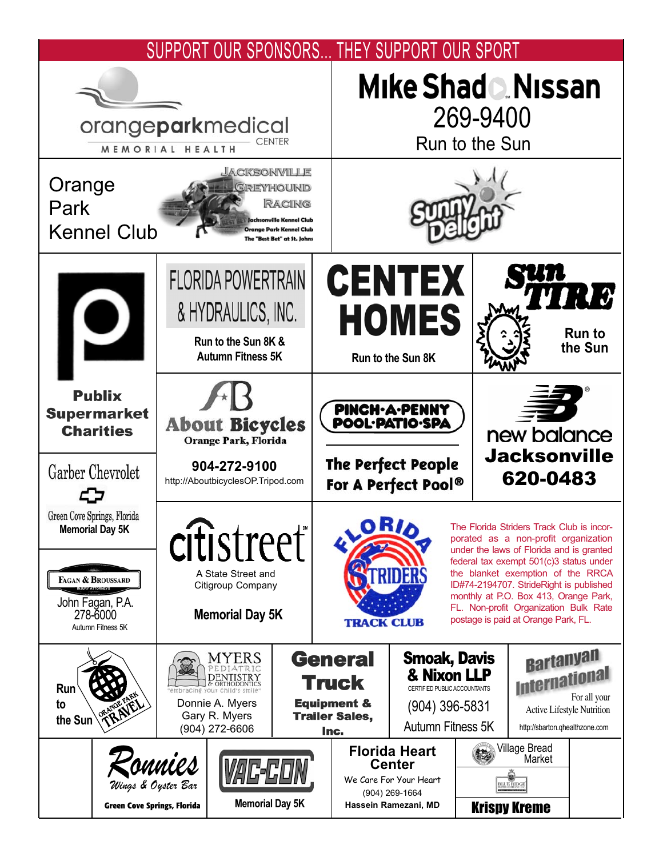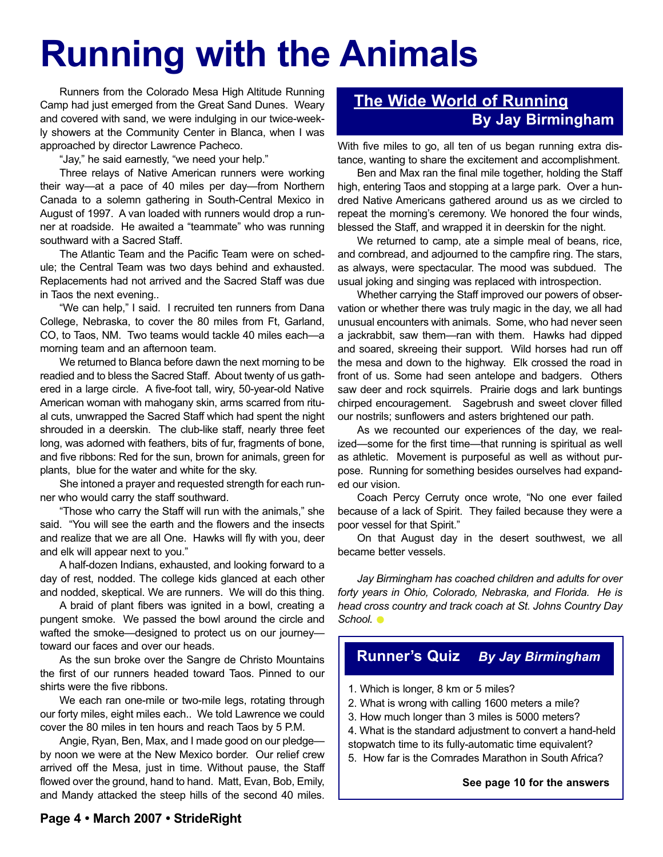# **Running with the Animals**

Runners from the Colorado Mesa High Altitude Running Camp had just emerged from the Great Sand Dunes. Weary and covered with sand, we were indulging in our twice-weekly showers at the Community Center in Blanca, when I was approached by director Lawrence Pacheco.

"Jay," he said earnestly, "we need your help."

Three relays of Native American runners were working their way—at a pace of 40 miles per day—from Northern Canada to a solemn gathering in South-Central Mexico in August of 1997. A van loaded with runners would drop a runner at roadside. He awaited a "teammate" who was running southward with a Sacred Staff.

The Atlantic Team and the Pacific Team were on schedule; the Central Team was two days behind and exhausted. Replacements had not arrived and the Sacred Staff was due in Taos the next evening..

"We can help," I said. I recruited ten runners from Dana College, Nebraska, to cover the 80 miles from Ft, Garland, CO, to Taos, NM. Two teams would tackle 40 miles each—a morning team and an afternoon team.

We returned to Blanca before dawn the next morning to be readied and to bless the Sacred Staff. About twenty of us gathered in a large circle. A five-foot tall, wiry, 50-year-old Native American woman with mahogany skin, arms scarred from ritual cuts, unwrapped the Sacred Staff which had spent the night shrouded in a deerskin. The club-like staff, nearly three feet long, was adorned with feathers, bits of fur, fragments of bone, and five ribbons: Red for the sun, brown for animals, green for plants, blue for the water and white for the sky.

She intoned a prayer and requested strength for each runner who would carry the staff southward.

"Those who carry the Staff will run with the animals," she said. "You will see the earth and the flowers and the insects and realize that we are all One. Hawks will fly with you, deer and elk will appear next to you."

A half-dozen Indians, exhausted, and looking forward to a day of rest, nodded. The college kids glanced at each other and nodded, skeptical. We are runners. We will do this thing.

A braid of plant fibers was ignited in a bowl, creating a pungent smoke. We passed the bowl around the circle and wafted the smoke—designed to protect us on our journey toward our faces and over our heads.

As the sun broke over the Sangre de Christo Mountains the first of our runners headed toward Taos. Pinned to our shirts were the five ribbons.

We each ran one-mile or two-mile legs, rotating through our forty miles, eight miles each.. We told Lawrence we could cover the 80 miles in ten hours and reach Taos by 5 P.M.

Angie, Ryan, Ben, Max, and I made good on our pledge by noon we were at the New Mexico border. Our relief crew arrived off the Mesa, just in time. Without pause, the Staff flowed over the ground, hand to hand. Matt, Evan, Bob, Emily, and Mandy attacked the steep hills of the second 40 miles.

### **The Wide World of Running By Jay Birmingham**

With five miles to go, all ten of us began running extra distance, wanting to share the excitement and accomplishment.

Ben and Max ran the final mile together, holding the Staff high, entering Taos and stopping at a large park. Over a hundred Native Americans gathered around us as we circled to repeat the morning's ceremony. We honored the four winds, blessed the Staff, and wrapped it in deerskin for the night.

We returned to camp, ate a simple meal of beans, rice, and cornbread, and adjourned to the campfire ring. The stars, as always, were spectacular. The mood was subdued. The usual joking and singing was replaced with introspection.

Whether carrying the Staff improved our powers of observation or whether there was truly magic in the day, we all had unusual encounters with animals. Some, who had never seen a jackrabbit, saw them—ran with them. Hawks had dipped and soared, skreeing their support. Wild horses had run off the mesa and down to the highway. Elk crossed the road in front of us. Some had seen antelope and badgers. Others saw deer and rock squirrels. Prairie dogs and lark buntings chirped encouragement. Sagebrush and sweet clover filled our nostrils; sunflowers and asters brightened our path.

As we recounted our experiences of the day, we realized—some for the first time—that running is spiritual as well as athletic. Movement is purposeful as well as without purpose. Running for something besides ourselves had expanded our vision.

Coach Percy Cerruty once wrote, "No one ever failed because of a lack of Spirit. They failed because they were a poor vessel for that Spirit."

On that August day in the desert southwest, we all became better vessels.

*Jay Birmingham has coached children and adults for over forty years in Ohio, Colorado, Nebraska, and Florida. He is head cross country and track coach at St. Johns Country Day School.*

### **Runner's Quiz** *By Jay Birmingham*

- 1. Which is longer, 8 km or 5 miles?
- 2. What is wrong with calling 1600 meters a mile?
- 3. How much longer than 3 miles is 5000 meters?
- 4. What is the standard adjustment to convert a hand-held
- stopwatch time to its fully-automatic time equivalent?
- 5. How far is the Comrades Marathon in South Africa?

**See page 10 for the answers**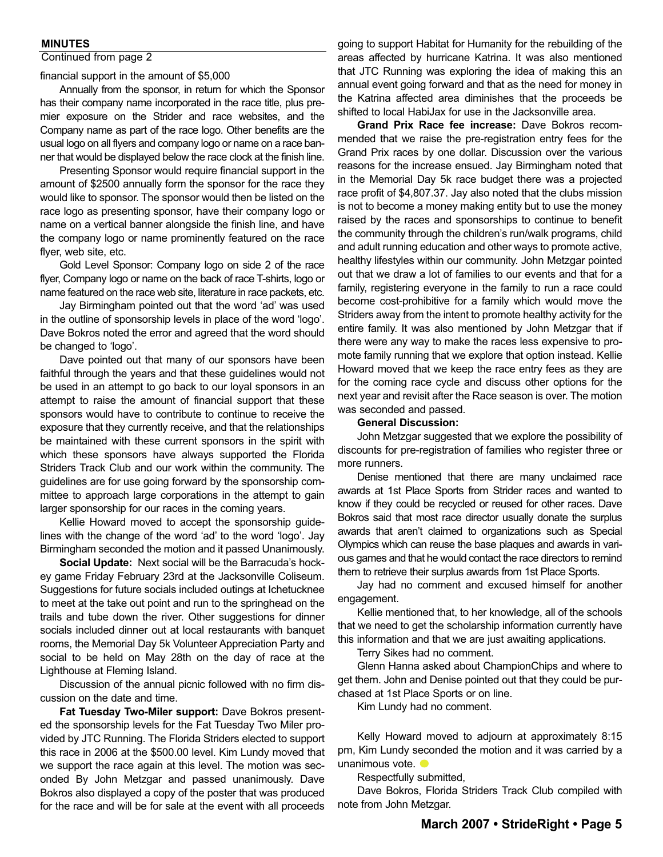#### **MINUTES**

#### Continued from page 2

financial support in the amount of \$5,000

Annually from the sponsor, in return for which the Sponsor has their company name incorporated in the race title, plus premier exposure on the Strider and race websites, and the Company name as part of the race logo. Other benefits are the usual logo on all flyers and company logo or name on a race banner that would be displayed below the race clock at the finish line.

Presenting Sponsor would require financial support in the amount of \$2500 annually form the sponsor for the race they would like to sponsor. The sponsor would then be listed on the race logo as presenting sponsor, have their company logo or name on a vertical banner alongside the finish line, and have the company logo or name prominently featured on the race flyer, web site, etc.

Gold Level Sponsor: Company logo on side 2 of the race flyer, Company logo or name on the back of race T-shirts, logo or name featured on the race web site, literature in race packets, etc.

Jay Birmingham pointed out that the word 'ad' was used in the outline of sponsorship levels in place of the word 'logo'. Dave Bokros noted the error and agreed that the word should be changed to 'logo'.

Dave pointed out that many of our sponsors have been faithful through the years and that these guidelines would not be used in an attempt to go back to our loyal sponsors in an attempt to raise the amount of financial support that these sponsors would have to contribute to continue to receive the exposure that they currently receive, and that the relationships be maintained with these current sponsors in the spirit with which these sponsors have always supported the Florida Striders Track Club and our work within the community. The guidelines are for use going forward by the sponsorship committee to approach large corporations in the attempt to gain larger sponsorship for our races in the coming years.

Kellie Howard moved to accept the sponsorship guidelines with the change of the word 'ad' to the word 'logo'. Jay Birmingham seconded the motion and it passed Unanimously.

**Social Update:** Next social will be the Barracuda's hockey game Friday February 23rd at the Jacksonville Coliseum. Suggestions for future socials included outings at Ichetucknee to meet at the take out point and run to the springhead on the trails and tube down the river. Other suggestions for dinner socials included dinner out at local restaurants with banquet rooms, the Memorial Day 5k Volunteer Appreciation Party and social to be held on May 28th on the day of race at the Lighthouse at Fleming Island.

Discussion of the annual picnic followed with no firm discussion on the date and time.

**Fat Tuesday Two-Miler support:** Dave Bokros presented the sponsorship levels for the Fat Tuesday Two Miler provided by JTC Running. The Florida Striders elected to support this race in 2006 at the \$500.00 level. Kim Lundy moved that we support the race again at this level. The motion was seconded By John Metzgar and passed unanimously. Dave Bokros also displayed a copy of the poster that was produced for the race and will be for sale at the event with all proceeds

going to support Habitat for Humanity for the rebuilding of the areas affected by hurricane Katrina. It was also mentioned that JTC Running was exploring the idea of making this an annual event going forward and that as the need for money in the Katrina affected area diminishes that the proceeds be shifted to local HabiJax for use in the Jacksonville area.

**Grand Prix Race fee increase:** Dave Bokros recommended that we raise the pre-registration entry fees for the Grand Prix races by one dollar. Discussion over the various reasons for the increase ensued. Jay Birmingham noted that in the Memorial Day 5k race budget there was a projected race profit of \$4,807.37. Jay also noted that the clubs mission is not to become a money making entity but to use the money raised by the races and sponsorships to continue to benefit the community through the children's run/walk programs, child and adult running education and other ways to promote active, healthy lifestyles within our community. John Metzgar pointed out that we draw a lot of families to our events and that for a family, registering everyone in the family to run a race could become cost-prohibitive for a family which would move the Striders away from the intent to promote healthy activity for the entire family. It was also mentioned by John Metzgar that if there were any way to make the races less expensive to promote family running that we explore that option instead. Kellie Howard moved that we keep the race entry fees as they are for the coming race cycle and discuss other options for the next year and revisit after the Race season is over. The motion was seconded and passed.

#### **General Discussion:**

John Metzgar suggested that we explore the possibility of discounts for pre-registration of families who register three or more runners.

Denise mentioned that there are many unclaimed race awards at 1st Place Sports from Strider races and wanted to know if they could be recycled or reused for other races. Dave Bokros said that most race director usually donate the surplus awards that aren't claimed to organizations such as Special Olympics which can reuse the base plaques and awards in various games and that he would contact the race directors to remind them to retrieve their surplus awards from 1st Place Sports.

Jay had no comment and excused himself for another engagement.

Kellie mentioned that, to her knowledge, all of the schools that we need to get the scholarship information currently have this information and that we are just awaiting applications.

Terry Sikes had no comment.

Glenn Hanna asked about ChampionChips and where to get them. John and Denise pointed out that they could be purchased at 1st Place Sports or on line.

Kim Lundy had no comment.

Kelly Howard moved to adjourn at approximately 8:15 pm, Kim Lundy seconded the motion and it was carried by a unanimous vote.

Respectfully submitted,

Dave Bokros, Florida Striders Track Club compiled with note from John Metzgar.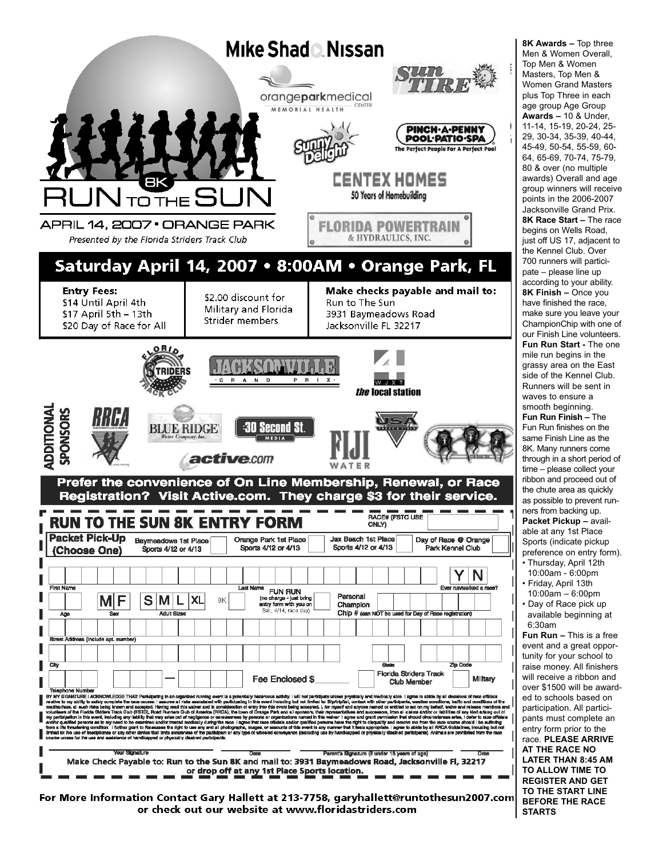

or check out our website at www.floridastriders.com

pate – please line up according to your ability. **8K Finish –** Once you have finished the race, make sure you leave your ChampionChip with one of our Finish Line volunteers. **Fun Run Start -** The one mile run begins in the grassy area on the East side of the Kennel Club. Runners will be sent in waves to ensure a smooth beginning. **Fun Run Finish –** The Fun Run finishes on the same Finish Line as the 8K. Many runners come through in a short period of time – please collect your ribbon and proceed out of the chute area as quickly as possible to prevent runners from backing up. **Packet Pickup –** available at any 1st Place Sports (indicate pickup preference on entry form). • Thursday, April 12th 10:00am - 6:00pm • Friday, April 13th 10:00am – 6:00pm • Day of Race pick up available beginning at **Fun Run –** This is a free event and a great opportunity for your school to raise money. All finishers will receive a ribbon and over \$1500 will be awarded to schools based on participation. All participants must complete an entry form prior to the race. **PLEASE ARRIVE AT THE RACE NO LATER THAN 8:45 AM TO ALLOW TIME TO REGISTER AND GET TO THE START LINE BEFORE THE RACE STARTS**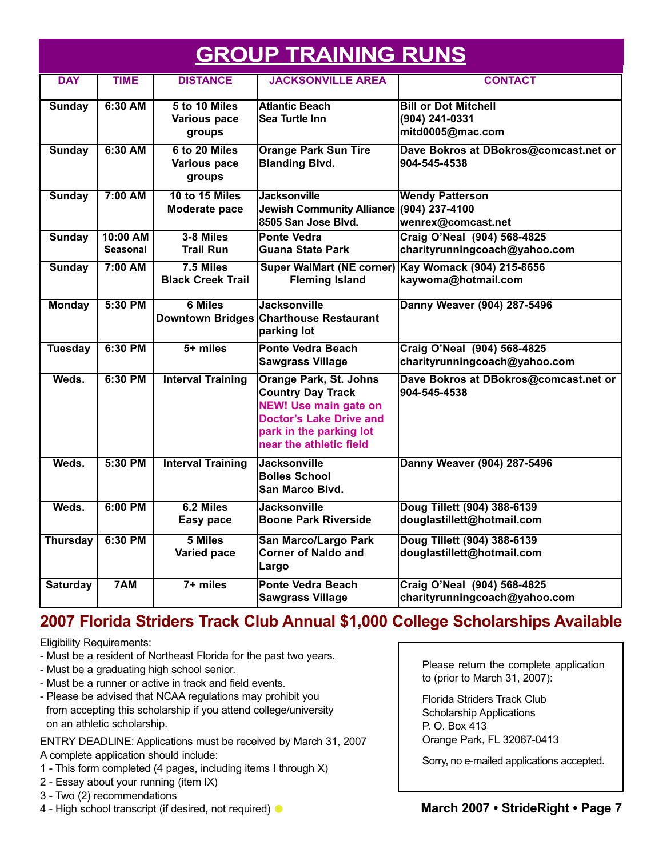| <b>GROUP TRAINING RUNS</b> |                 |                          |                                          |                                       |
|----------------------------|-----------------|--------------------------|------------------------------------------|---------------------------------------|
| <b>DAY</b>                 | <b>TIME</b>     | <b>DISTANCE</b>          | <b>JACKSONVILLE AREA</b>                 | <b>CONTACT</b>                        |
| <b>Sunday</b>              | $6:30$ AM       | 5 to 10 Miles            | <b>Atlantic Beach</b>                    | <b>Bill or Dot Mitchell</b>           |
|                            |                 | Various pace             | <b>Sea Turtle Inn</b>                    | (904) 241-0331                        |
|                            |                 | groups                   |                                          | mitd0005@mac.com                      |
| <b>Sunday</b>              | 6:30 AM         | 6 to 20 Miles            | <b>Orange Park Sun Tire</b>              | Dave Bokros at DBokros@comcast.net or |
|                            |                 | <b>Various pace</b>      | <b>Blanding Blvd.</b>                    | 904-545-4538                          |
|                            |                 | groups                   |                                          |                                       |
| <b>Sunday</b>              | 7:00 AM         | 10 to 15 Miles           | <b>Jacksonville</b>                      | <b>Wendy Patterson</b>                |
|                            |                 | Moderate pace            | Jewish Community Alliance (904) 237-4100 |                                       |
|                            |                 |                          | 8505 San Jose Blvd.                      | wenrex@comcast.net                    |
| <b>Sunday</b>              | 10:00 AM        | 3-8 Miles                | <b>Ponte Vedra</b>                       | Craig O'Neal (904) 568-4825           |
|                            | <b>Seasonal</b> | <b>Trail Run</b>         | <b>Guana State Park</b>                  | charityrunningcoach@yahoo.com         |
| Sunday                     | 7:00 AM         | $7.5$ Miles              | <b>Super WalMart (NE corner)</b>         | Kay Womack (904) 215-8656             |
|                            |                 | <b>Black Creek Trail</b> | <b>Fleming Island</b>                    | kaywoma@hotmail.com                   |
| <b>Monday</b>              | 5:30 PM         | <b>6 Miles</b>           | <b>Jacksonville</b>                      | Danny Weaver (904) 287-5496           |
|                            |                 |                          | Downtown Bridges Charthouse Restaurant   |                                       |
|                            |                 |                          | parking lot                              |                                       |
| <b>Tuesday</b>             | 6:30 PM         | $5+$ miles               | <b>Ponte Vedra Beach</b>                 | Craig O'Neal (904) 568-4825           |
|                            |                 |                          | <b>Sawgrass Village</b>                  | charityrunningcoach@yahoo.com         |
| Weds.                      | 6:30 PM         | <b>Interval Training</b> | <b>Orange Park, St. Johns</b>            | Dave Bokros at DBokros@comcast.net or |
|                            |                 |                          | <b>Country Day Track</b>                 | 904-545-4538                          |
|                            |                 |                          | <b>NEW! Use main gate on</b>             |                                       |
|                            |                 |                          | <b>Doctor's Lake Drive and</b>           |                                       |
|                            |                 |                          | park in the parking lot                  |                                       |
|                            |                 |                          | near the athletic field                  |                                       |
| Weds.                      | 5:30 PM         | <b>Interval Training</b> | <b>Jacksonville</b>                      | Danny Weaver (904) 287-5496           |
|                            |                 |                          | <b>Bolles School</b>                     |                                       |
|                            |                 |                          | San Marco Blvd.                          |                                       |
| Weds.                      | 6:00 PM         | 6.2 Miles                | <b>Jacksonville</b>                      | Doug Tillett (904) 388-6139           |
|                            |                 | Easy pace                | <b>Boone Park Riverside</b>              | douglastillett@hotmail.com            |
| <b>Thursday</b>            | 6:30 PM         | 5 Miles                  | <b>San Marco/Largo Park</b>              | Doug Tillett (904) 388-6139           |
|                            |                 | Varied pace              | <b>Corner of Naldo and</b>               | douglastillett@hotmail.com            |
|                            |                 |                          | Largo                                    |                                       |
| <b>Saturday</b>            | 7AM             | $7+$ miles               | <b>Ponte Vedra Beach</b>                 | Craig O'Neal (904) 568-4825           |
|                            |                 |                          | <b>Sawgrass Village</b>                  | charityrunningcoach@yahoo.com         |

### **2007 Florida Striders Track Club Annual \$1,000 College Scholarships Available**

Eligibility Requirements:

- Must be a resident of Northeast Florida for the past two years.
- Must be a graduating high school senior.
- Must be a runner or active in track and field events.
- Please be advised that NCAA regulations may prohibit you from accepting this scholarship if you attend college/university on an athletic scholarship.

#### ENTRY DEADLINE: Applications must be received by March 31, 2007 A complete application should include:

- 1 This form completed (4 pages, including items I through X)
- 2 Essay about your running (item IX)
- 3 Two (2) recommendations
- 4 High school transcript (if desired, not required)  $\bullet$

Please return the complete application to (prior to March 31, 2007):

Florida Striders Track Club Scholarship Applications P. O. Box 413 Orange Park, FL 32067-0413

Sorry, no e-mailed applications accepted.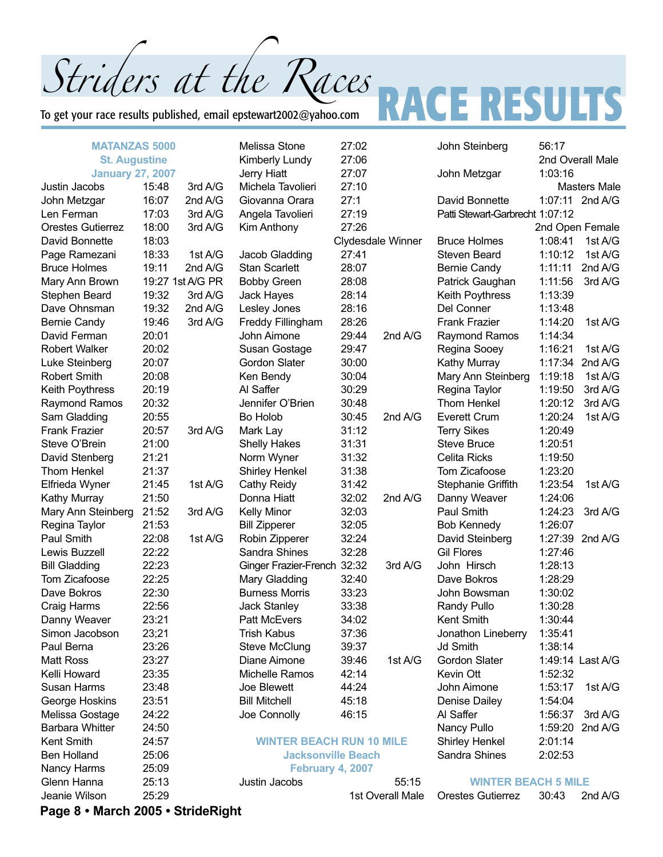# *RACE RESULTS AL LINE / QUES*<br>To get your race results published, email epstewart2002@yahoo.com<br> **RACE RESULTS**

| John Steinberg<br>27:06<br>2nd Overall Male<br><b>St. Augustine</b><br>Kimberly Lundy<br>27:07<br>1:03:16<br><b>January 27, 2007</b><br><b>Jerry Hiatt</b><br>John Metzgar<br>27:10<br>15:48<br>3rd A/G<br>Michela Tavolieri<br><b>Masters Male</b><br>Justin Jacobs<br>27:1<br>16:07<br>2nd A/G<br>Giovanna Orara<br>David Bonnette<br>1:07:11<br>2nd A/G<br>John Metzgar<br>17:03<br>3rd A/G<br>27:19<br>Patti Stewart-Garbrecht 1:07:12<br>Len Ferman<br>Angela Tavolieri<br>27:26<br>3rd A/G<br><b>Orestes Gutierrez</b><br>18:00<br>Kim Anthony<br>2nd Open Female<br>18:03<br>David Bonnette<br>Clydesdale Winner<br>1:08:41<br>1st A/G<br><b>Bruce Holmes</b><br>18:33<br>27:41<br>1:10:12<br>Page Ramezani<br>1st A/G<br><b>Steven Beard</b><br>1st A/G<br>Jacob Gladding<br>19:11<br>2nd A/G<br>28:07<br><b>Bruce Holmes</b><br><b>Stan Scarlett</b><br><b>Bernie Candy</b><br>1:11:11<br>2nd A/G<br>19:27 1st A/G PR<br>28:08<br>Mary Ann Brown<br><b>Bobby Green</b><br>1:11:56<br>3rd A/G<br>Patrick Gaughan<br>19:32<br>3rd A/G<br>28:14<br>1:13:39<br><b>Jack Hayes</b><br>Keith Poythress<br>Stephen Beard<br>19:32<br>2nd A/G<br>28:16<br>Dave Ohnsman<br>Lesley Jones<br>Del Conner<br>1:13:48<br><b>Bernie Candy</b><br>19:46<br>3rd A/G<br>Freddy Fillingham<br>28:26<br><b>Frank Frazier</b><br>1:14:20<br>1st A/G<br>20:01<br>29:44<br>David Ferman<br>John Aimone<br>2nd A/G<br>Raymond Ramos<br>1:14:34<br>20:02<br><b>Robert Walker</b><br>Susan Gostage<br>29:47<br>Regina Sooey<br>1:16:21<br>1st A/G<br>20:07<br>Gordon Slater<br>30:00<br>Kathy Murray<br>1:17:34<br>2nd A/G<br>Luke Steinberg<br>20:08<br>30:04<br><b>Robert Smith</b><br>Ken Bendy<br>Mary Ann Steinberg<br>1:19:18<br>1st A/G<br>30:29<br>1:19:50<br>20:19<br>Al Saffer<br>3rd A/G<br>Keith Poythress<br>Regina Taylor<br>20:32<br>Jennifer O'Brien<br>30:48<br>Thom Henkel<br>1:20:12<br>3rd A/G<br><b>Raymond Ramos</b><br>20:55<br>30:45<br><b>Everett Crum</b><br>1:20:24<br>1st A/G<br>Sam Gladding<br>Bo Holob<br>2nd A/G<br>20:57<br>3rd A/G<br>31:12<br><b>Frank Frazier</b><br><b>Terry Sikes</b><br>1:20:49<br>Mark Lay<br>Steve O'Brein<br>21:00<br>31:31<br><b>Steve Bruce</b><br>1:20:51<br><b>Shelly Hakes</b><br>21:21<br>31:32<br>David Stenberg<br>Norm Wyner<br><b>Celita Ricks</b><br>1:19:50<br>21:37<br>31:38<br><b>Thom Henkel</b><br><b>Shirley Henkel</b><br>Tom Zicafoose<br>1:23:20<br>21:45<br>1st A/G<br>Cathy Reidy<br>31:42<br>1:23:54<br>1st A/G<br>Elfrieda Wyner<br>Stephanie Griffith<br>21:50<br>32:02<br>1:24:06<br>Kathy Murray<br>Donna Hiatt<br>2nd A/G<br>Danny Weaver<br>Mary Ann Steinberg<br>21:52<br>3rd A/G<br>32:03<br>Paul Smith<br>1:24:23<br>3rd A/G<br><b>Kelly Minor</b><br>21:53<br>32:05<br>1:26:07<br>Regina Taylor<br><b>Bill Zipperer</b><br><b>Bob Kennedy</b><br>Paul Smith<br>22:08<br>1st A/G<br>32:24<br>Robin Zipperer<br>David Steinberg<br>1:27:39 2nd A/G<br>22:22<br>32:28<br>1:27:46<br>Lewis Buzzell<br>Sandra Shines<br><b>Gil Flores</b><br>22:23<br>32:32<br>3rd A/G<br>John Hirsch<br>1:28:13<br><b>Bill Gladding</b><br>Ginger Frazier-French<br>22:25<br>32:40<br>Tom Zicafoose<br>Mary Gladding<br>Dave Bokros<br>1:28:29<br>22:30<br>Dave Bokros<br>33:23<br><b>Burness Morris</b><br>John Bowsman<br>1:30:02<br>Craig Harms<br>22:56<br><b>Jack Stanley</b><br>33:38<br>Randy Pullo<br>1:30:28<br>1:30:44<br>23:21<br>34:02<br>Kent Smith<br>Danny Weaver<br><b>Patt McEvers</b><br>23;21<br><b>Trish Kabus</b><br>37:36<br>1:35:41<br>Simon Jacobson<br>Jonathon Lineberry |
|---------------------------------------------------------------------------------------------------------------------------------------------------------------------------------------------------------------------------------------------------------------------------------------------------------------------------------------------------------------------------------------------------------------------------------------------------------------------------------------------------------------------------------------------------------------------------------------------------------------------------------------------------------------------------------------------------------------------------------------------------------------------------------------------------------------------------------------------------------------------------------------------------------------------------------------------------------------------------------------------------------------------------------------------------------------------------------------------------------------------------------------------------------------------------------------------------------------------------------------------------------------------------------------------------------------------------------------------------------------------------------------------------------------------------------------------------------------------------------------------------------------------------------------------------------------------------------------------------------------------------------------------------------------------------------------------------------------------------------------------------------------------------------------------------------------------------------------------------------------------------------------------------------------------------------------------------------------------------------------------------------------------------------------------------------------------------------------------------------------------------------------------------------------------------------------------------------------------------------------------------------------------------------------------------------------------------------------------------------------------------------------------------------------------------------------------------------------------------------------------------------------------------------------------------------------------------------------------------------------------------------------------------------------------------------------------------------------------------------------------------------------------------------------------------------------------------------------------------------------------------------------------------------------------------------------------------------------------------------------------------------------------------------------------------------------------------------------------------------------------------------------------------------------------------------------------------------------------------------------------------------------------------------------------------------------------------------------------------------------------------------------------------------------------------------------------------------------------------------------------------------------------------------------------------------|
|                                                                                                                                                                                                                                                                                                                                                                                                                                                                                                                                                                                                                                                                                                                                                                                                                                                                                                                                                                                                                                                                                                                                                                                                                                                                                                                                                                                                                                                                                                                                                                                                                                                                                                                                                                                                                                                                                                                                                                                                                                                                                                                                                                                                                                                                                                                                                                                                                                                                                                                                                                                                                                                                                                                                                                                                                                                                                                                                                                                                                                                                                                                                                                                                                                                                                                                                                                                                                                                                                                                                                         |
|                                                                                                                                                                                                                                                                                                                                                                                                                                                                                                                                                                                                                                                                                                                                                                                                                                                                                                                                                                                                                                                                                                                                                                                                                                                                                                                                                                                                                                                                                                                                                                                                                                                                                                                                                                                                                                                                                                                                                                                                                                                                                                                                                                                                                                                                                                                                                                                                                                                                                                                                                                                                                                                                                                                                                                                                                                                                                                                                                                                                                                                                                                                                                                                                                                                                                                                                                                                                                                                                                                                                                         |
|                                                                                                                                                                                                                                                                                                                                                                                                                                                                                                                                                                                                                                                                                                                                                                                                                                                                                                                                                                                                                                                                                                                                                                                                                                                                                                                                                                                                                                                                                                                                                                                                                                                                                                                                                                                                                                                                                                                                                                                                                                                                                                                                                                                                                                                                                                                                                                                                                                                                                                                                                                                                                                                                                                                                                                                                                                                                                                                                                                                                                                                                                                                                                                                                                                                                                                                                                                                                                                                                                                                                                         |
|                                                                                                                                                                                                                                                                                                                                                                                                                                                                                                                                                                                                                                                                                                                                                                                                                                                                                                                                                                                                                                                                                                                                                                                                                                                                                                                                                                                                                                                                                                                                                                                                                                                                                                                                                                                                                                                                                                                                                                                                                                                                                                                                                                                                                                                                                                                                                                                                                                                                                                                                                                                                                                                                                                                                                                                                                                                                                                                                                                                                                                                                                                                                                                                                                                                                                                                                                                                                                                                                                                                                                         |
|                                                                                                                                                                                                                                                                                                                                                                                                                                                                                                                                                                                                                                                                                                                                                                                                                                                                                                                                                                                                                                                                                                                                                                                                                                                                                                                                                                                                                                                                                                                                                                                                                                                                                                                                                                                                                                                                                                                                                                                                                                                                                                                                                                                                                                                                                                                                                                                                                                                                                                                                                                                                                                                                                                                                                                                                                                                                                                                                                                                                                                                                                                                                                                                                                                                                                                                                                                                                                                                                                                                                                         |
|                                                                                                                                                                                                                                                                                                                                                                                                                                                                                                                                                                                                                                                                                                                                                                                                                                                                                                                                                                                                                                                                                                                                                                                                                                                                                                                                                                                                                                                                                                                                                                                                                                                                                                                                                                                                                                                                                                                                                                                                                                                                                                                                                                                                                                                                                                                                                                                                                                                                                                                                                                                                                                                                                                                                                                                                                                                                                                                                                                                                                                                                                                                                                                                                                                                                                                                                                                                                                                                                                                                                                         |
|                                                                                                                                                                                                                                                                                                                                                                                                                                                                                                                                                                                                                                                                                                                                                                                                                                                                                                                                                                                                                                                                                                                                                                                                                                                                                                                                                                                                                                                                                                                                                                                                                                                                                                                                                                                                                                                                                                                                                                                                                                                                                                                                                                                                                                                                                                                                                                                                                                                                                                                                                                                                                                                                                                                                                                                                                                                                                                                                                                                                                                                                                                                                                                                                                                                                                                                                                                                                                                                                                                                                                         |
|                                                                                                                                                                                                                                                                                                                                                                                                                                                                                                                                                                                                                                                                                                                                                                                                                                                                                                                                                                                                                                                                                                                                                                                                                                                                                                                                                                                                                                                                                                                                                                                                                                                                                                                                                                                                                                                                                                                                                                                                                                                                                                                                                                                                                                                                                                                                                                                                                                                                                                                                                                                                                                                                                                                                                                                                                                                                                                                                                                                                                                                                                                                                                                                                                                                                                                                                                                                                                                                                                                                                                         |
|                                                                                                                                                                                                                                                                                                                                                                                                                                                                                                                                                                                                                                                                                                                                                                                                                                                                                                                                                                                                                                                                                                                                                                                                                                                                                                                                                                                                                                                                                                                                                                                                                                                                                                                                                                                                                                                                                                                                                                                                                                                                                                                                                                                                                                                                                                                                                                                                                                                                                                                                                                                                                                                                                                                                                                                                                                                                                                                                                                                                                                                                                                                                                                                                                                                                                                                                                                                                                                                                                                                                                         |
|                                                                                                                                                                                                                                                                                                                                                                                                                                                                                                                                                                                                                                                                                                                                                                                                                                                                                                                                                                                                                                                                                                                                                                                                                                                                                                                                                                                                                                                                                                                                                                                                                                                                                                                                                                                                                                                                                                                                                                                                                                                                                                                                                                                                                                                                                                                                                                                                                                                                                                                                                                                                                                                                                                                                                                                                                                                                                                                                                                                                                                                                                                                                                                                                                                                                                                                                                                                                                                                                                                                                                         |
|                                                                                                                                                                                                                                                                                                                                                                                                                                                                                                                                                                                                                                                                                                                                                                                                                                                                                                                                                                                                                                                                                                                                                                                                                                                                                                                                                                                                                                                                                                                                                                                                                                                                                                                                                                                                                                                                                                                                                                                                                                                                                                                                                                                                                                                                                                                                                                                                                                                                                                                                                                                                                                                                                                                                                                                                                                                                                                                                                                                                                                                                                                                                                                                                                                                                                                                                                                                                                                                                                                                                                         |
|                                                                                                                                                                                                                                                                                                                                                                                                                                                                                                                                                                                                                                                                                                                                                                                                                                                                                                                                                                                                                                                                                                                                                                                                                                                                                                                                                                                                                                                                                                                                                                                                                                                                                                                                                                                                                                                                                                                                                                                                                                                                                                                                                                                                                                                                                                                                                                                                                                                                                                                                                                                                                                                                                                                                                                                                                                                                                                                                                                                                                                                                                                                                                                                                                                                                                                                                                                                                                                                                                                                                                         |
|                                                                                                                                                                                                                                                                                                                                                                                                                                                                                                                                                                                                                                                                                                                                                                                                                                                                                                                                                                                                                                                                                                                                                                                                                                                                                                                                                                                                                                                                                                                                                                                                                                                                                                                                                                                                                                                                                                                                                                                                                                                                                                                                                                                                                                                                                                                                                                                                                                                                                                                                                                                                                                                                                                                                                                                                                                                                                                                                                                                                                                                                                                                                                                                                                                                                                                                                                                                                                                                                                                                                                         |
|                                                                                                                                                                                                                                                                                                                                                                                                                                                                                                                                                                                                                                                                                                                                                                                                                                                                                                                                                                                                                                                                                                                                                                                                                                                                                                                                                                                                                                                                                                                                                                                                                                                                                                                                                                                                                                                                                                                                                                                                                                                                                                                                                                                                                                                                                                                                                                                                                                                                                                                                                                                                                                                                                                                                                                                                                                                                                                                                                                                                                                                                                                                                                                                                                                                                                                                                                                                                                                                                                                                                                         |
|                                                                                                                                                                                                                                                                                                                                                                                                                                                                                                                                                                                                                                                                                                                                                                                                                                                                                                                                                                                                                                                                                                                                                                                                                                                                                                                                                                                                                                                                                                                                                                                                                                                                                                                                                                                                                                                                                                                                                                                                                                                                                                                                                                                                                                                                                                                                                                                                                                                                                                                                                                                                                                                                                                                                                                                                                                                                                                                                                                                                                                                                                                                                                                                                                                                                                                                                                                                                                                                                                                                                                         |
|                                                                                                                                                                                                                                                                                                                                                                                                                                                                                                                                                                                                                                                                                                                                                                                                                                                                                                                                                                                                                                                                                                                                                                                                                                                                                                                                                                                                                                                                                                                                                                                                                                                                                                                                                                                                                                                                                                                                                                                                                                                                                                                                                                                                                                                                                                                                                                                                                                                                                                                                                                                                                                                                                                                                                                                                                                                                                                                                                                                                                                                                                                                                                                                                                                                                                                                                                                                                                                                                                                                                                         |
|                                                                                                                                                                                                                                                                                                                                                                                                                                                                                                                                                                                                                                                                                                                                                                                                                                                                                                                                                                                                                                                                                                                                                                                                                                                                                                                                                                                                                                                                                                                                                                                                                                                                                                                                                                                                                                                                                                                                                                                                                                                                                                                                                                                                                                                                                                                                                                                                                                                                                                                                                                                                                                                                                                                                                                                                                                                                                                                                                                                                                                                                                                                                                                                                                                                                                                                                                                                                                                                                                                                                                         |
|                                                                                                                                                                                                                                                                                                                                                                                                                                                                                                                                                                                                                                                                                                                                                                                                                                                                                                                                                                                                                                                                                                                                                                                                                                                                                                                                                                                                                                                                                                                                                                                                                                                                                                                                                                                                                                                                                                                                                                                                                                                                                                                                                                                                                                                                                                                                                                                                                                                                                                                                                                                                                                                                                                                                                                                                                                                                                                                                                                                                                                                                                                                                                                                                                                                                                                                                                                                                                                                                                                                                                         |
|                                                                                                                                                                                                                                                                                                                                                                                                                                                                                                                                                                                                                                                                                                                                                                                                                                                                                                                                                                                                                                                                                                                                                                                                                                                                                                                                                                                                                                                                                                                                                                                                                                                                                                                                                                                                                                                                                                                                                                                                                                                                                                                                                                                                                                                                                                                                                                                                                                                                                                                                                                                                                                                                                                                                                                                                                                                                                                                                                                                                                                                                                                                                                                                                                                                                                                                                                                                                                                                                                                                                                         |
|                                                                                                                                                                                                                                                                                                                                                                                                                                                                                                                                                                                                                                                                                                                                                                                                                                                                                                                                                                                                                                                                                                                                                                                                                                                                                                                                                                                                                                                                                                                                                                                                                                                                                                                                                                                                                                                                                                                                                                                                                                                                                                                                                                                                                                                                                                                                                                                                                                                                                                                                                                                                                                                                                                                                                                                                                                                                                                                                                                                                                                                                                                                                                                                                                                                                                                                                                                                                                                                                                                                                                         |
|                                                                                                                                                                                                                                                                                                                                                                                                                                                                                                                                                                                                                                                                                                                                                                                                                                                                                                                                                                                                                                                                                                                                                                                                                                                                                                                                                                                                                                                                                                                                                                                                                                                                                                                                                                                                                                                                                                                                                                                                                                                                                                                                                                                                                                                                                                                                                                                                                                                                                                                                                                                                                                                                                                                                                                                                                                                                                                                                                                                                                                                                                                                                                                                                                                                                                                                                                                                                                                                                                                                                                         |
|                                                                                                                                                                                                                                                                                                                                                                                                                                                                                                                                                                                                                                                                                                                                                                                                                                                                                                                                                                                                                                                                                                                                                                                                                                                                                                                                                                                                                                                                                                                                                                                                                                                                                                                                                                                                                                                                                                                                                                                                                                                                                                                                                                                                                                                                                                                                                                                                                                                                                                                                                                                                                                                                                                                                                                                                                                                                                                                                                                                                                                                                                                                                                                                                                                                                                                                                                                                                                                                                                                                                                         |
|                                                                                                                                                                                                                                                                                                                                                                                                                                                                                                                                                                                                                                                                                                                                                                                                                                                                                                                                                                                                                                                                                                                                                                                                                                                                                                                                                                                                                                                                                                                                                                                                                                                                                                                                                                                                                                                                                                                                                                                                                                                                                                                                                                                                                                                                                                                                                                                                                                                                                                                                                                                                                                                                                                                                                                                                                                                                                                                                                                                                                                                                                                                                                                                                                                                                                                                                                                                                                                                                                                                                                         |
|                                                                                                                                                                                                                                                                                                                                                                                                                                                                                                                                                                                                                                                                                                                                                                                                                                                                                                                                                                                                                                                                                                                                                                                                                                                                                                                                                                                                                                                                                                                                                                                                                                                                                                                                                                                                                                                                                                                                                                                                                                                                                                                                                                                                                                                                                                                                                                                                                                                                                                                                                                                                                                                                                                                                                                                                                                                                                                                                                                                                                                                                                                                                                                                                                                                                                                                                                                                                                                                                                                                                                         |
|                                                                                                                                                                                                                                                                                                                                                                                                                                                                                                                                                                                                                                                                                                                                                                                                                                                                                                                                                                                                                                                                                                                                                                                                                                                                                                                                                                                                                                                                                                                                                                                                                                                                                                                                                                                                                                                                                                                                                                                                                                                                                                                                                                                                                                                                                                                                                                                                                                                                                                                                                                                                                                                                                                                                                                                                                                                                                                                                                                                                                                                                                                                                                                                                                                                                                                                                                                                                                                                                                                                                                         |
|                                                                                                                                                                                                                                                                                                                                                                                                                                                                                                                                                                                                                                                                                                                                                                                                                                                                                                                                                                                                                                                                                                                                                                                                                                                                                                                                                                                                                                                                                                                                                                                                                                                                                                                                                                                                                                                                                                                                                                                                                                                                                                                                                                                                                                                                                                                                                                                                                                                                                                                                                                                                                                                                                                                                                                                                                                                                                                                                                                                                                                                                                                                                                                                                                                                                                                                                                                                                                                                                                                                                                         |
|                                                                                                                                                                                                                                                                                                                                                                                                                                                                                                                                                                                                                                                                                                                                                                                                                                                                                                                                                                                                                                                                                                                                                                                                                                                                                                                                                                                                                                                                                                                                                                                                                                                                                                                                                                                                                                                                                                                                                                                                                                                                                                                                                                                                                                                                                                                                                                                                                                                                                                                                                                                                                                                                                                                                                                                                                                                                                                                                                                                                                                                                                                                                                                                                                                                                                                                                                                                                                                                                                                                                                         |
|                                                                                                                                                                                                                                                                                                                                                                                                                                                                                                                                                                                                                                                                                                                                                                                                                                                                                                                                                                                                                                                                                                                                                                                                                                                                                                                                                                                                                                                                                                                                                                                                                                                                                                                                                                                                                                                                                                                                                                                                                                                                                                                                                                                                                                                                                                                                                                                                                                                                                                                                                                                                                                                                                                                                                                                                                                                                                                                                                                                                                                                                                                                                                                                                                                                                                                                                                                                                                                                                                                                                                         |
|                                                                                                                                                                                                                                                                                                                                                                                                                                                                                                                                                                                                                                                                                                                                                                                                                                                                                                                                                                                                                                                                                                                                                                                                                                                                                                                                                                                                                                                                                                                                                                                                                                                                                                                                                                                                                                                                                                                                                                                                                                                                                                                                                                                                                                                                                                                                                                                                                                                                                                                                                                                                                                                                                                                                                                                                                                                                                                                                                                                                                                                                                                                                                                                                                                                                                                                                                                                                                                                                                                                                                         |
|                                                                                                                                                                                                                                                                                                                                                                                                                                                                                                                                                                                                                                                                                                                                                                                                                                                                                                                                                                                                                                                                                                                                                                                                                                                                                                                                                                                                                                                                                                                                                                                                                                                                                                                                                                                                                                                                                                                                                                                                                                                                                                                                                                                                                                                                                                                                                                                                                                                                                                                                                                                                                                                                                                                                                                                                                                                                                                                                                                                                                                                                                                                                                                                                                                                                                                                                                                                                                                                                                                                                                         |
|                                                                                                                                                                                                                                                                                                                                                                                                                                                                                                                                                                                                                                                                                                                                                                                                                                                                                                                                                                                                                                                                                                                                                                                                                                                                                                                                                                                                                                                                                                                                                                                                                                                                                                                                                                                                                                                                                                                                                                                                                                                                                                                                                                                                                                                                                                                                                                                                                                                                                                                                                                                                                                                                                                                                                                                                                                                                                                                                                                                                                                                                                                                                                                                                                                                                                                                                                                                                                                                                                                                                                         |
|                                                                                                                                                                                                                                                                                                                                                                                                                                                                                                                                                                                                                                                                                                                                                                                                                                                                                                                                                                                                                                                                                                                                                                                                                                                                                                                                                                                                                                                                                                                                                                                                                                                                                                                                                                                                                                                                                                                                                                                                                                                                                                                                                                                                                                                                                                                                                                                                                                                                                                                                                                                                                                                                                                                                                                                                                                                                                                                                                                                                                                                                                                                                                                                                                                                                                                                                                                                                                                                                                                                                                         |
|                                                                                                                                                                                                                                                                                                                                                                                                                                                                                                                                                                                                                                                                                                                                                                                                                                                                                                                                                                                                                                                                                                                                                                                                                                                                                                                                                                                                                                                                                                                                                                                                                                                                                                                                                                                                                                                                                                                                                                                                                                                                                                                                                                                                                                                                                                                                                                                                                                                                                                                                                                                                                                                                                                                                                                                                                                                                                                                                                                                                                                                                                                                                                                                                                                                                                                                                                                                                                                                                                                                                                         |
|                                                                                                                                                                                                                                                                                                                                                                                                                                                                                                                                                                                                                                                                                                                                                                                                                                                                                                                                                                                                                                                                                                                                                                                                                                                                                                                                                                                                                                                                                                                                                                                                                                                                                                                                                                                                                                                                                                                                                                                                                                                                                                                                                                                                                                                                                                                                                                                                                                                                                                                                                                                                                                                                                                                                                                                                                                                                                                                                                                                                                                                                                                                                                                                                                                                                                                                                                                                                                                                                                                                                                         |
|                                                                                                                                                                                                                                                                                                                                                                                                                                                                                                                                                                                                                                                                                                                                                                                                                                                                                                                                                                                                                                                                                                                                                                                                                                                                                                                                                                                                                                                                                                                                                                                                                                                                                                                                                                                                                                                                                                                                                                                                                                                                                                                                                                                                                                                                                                                                                                                                                                                                                                                                                                                                                                                                                                                                                                                                                                                                                                                                                                                                                                                                                                                                                                                                                                                                                                                                                                                                                                                                                                                                                         |
|                                                                                                                                                                                                                                                                                                                                                                                                                                                                                                                                                                                                                                                                                                                                                                                                                                                                                                                                                                                                                                                                                                                                                                                                                                                                                                                                                                                                                                                                                                                                                                                                                                                                                                                                                                                                                                                                                                                                                                                                                                                                                                                                                                                                                                                                                                                                                                                                                                                                                                                                                                                                                                                                                                                                                                                                                                                                                                                                                                                                                                                                                                                                                                                                                                                                                                                                                                                                                                                                                                                                                         |
|                                                                                                                                                                                                                                                                                                                                                                                                                                                                                                                                                                                                                                                                                                                                                                                                                                                                                                                                                                                                                                                                                                                                                                                                                                                                                                                                                                                                                                                                                                                                                                                                                                                                                                                                                                                                                                                                                                                                                                                                                                                                                                                                                                                                                                                                                                                                                                                                                                                                                                                                                                                                                                                                                                                                                                                                                                                                                                                                                                                                                                                                                                                                                                                                                                                                                                                                                                                                                                                                                                                                                         |
| 23:26<br>Paul Berna<br>39:37<br>Jd Smith<br>1:38:14<br><b>Steve McClung</b>                                                                                                                                                                                                                                                                                                                                                                                                                                                                                                                                                                                                                                                                                                                                                                                                                                                                                                                                                                                                                                                                                                                                                                                                                                                                                                                                                                                                                                                                                                                                                                                                                                                                                                                                                                                                                                                                                                                                                                                                                                                                                                                                                                                                                                                                                                                                                                                                                                                                                                                                                                                                                                                                                                                                                                                                                                                                                                                                                                                                                                                                                                                                                                                                                                                                                                                                                                                                                                                                             |
| <b>Matt Ross</b><br>23:27<br>Diane Aimone<br>39:46<br>1st A/G<br><b>Gordon Slater</b><br>1:49:14 Last A/G                                                                                                                                                                                                                                                                                                                                                                                                                                                                                                                                                                                                                                                                                                                                                                                                                                                                                                                                                                                                                                                                                                                                                                                                                                                                                                                                                                                                                                                                                                                                                                                                                                                                                                                                                                                                                                                                                                                                                                                                                                                                                                                                                                                                                                                                                                                                                                                                                                                                                                                                                                                                                                                                                                                                                                                                                                                                                                                                                                                                                                                                                                                                                                                                                                                                                                                                                                                                                                               |
| Kelli Howard<br>23:35<br>Michelle Ramos<br>42:14<br>Kevin Ott<br>1:52:32                                                                                                                                                                                                                                                                                                                                                                                                                                                                                                                                                                                                                                                                                                                                                                                                                                                                                                                                                                                                                                                                                                                                                                                                                                                                                                                                                                                                                                                                                                                                                                                                                                                                                                                                                                                                                                                                                                                                                                                                                                                                                                                                                                                                                                                                                                                                                                                                                                                                                                                                                                                                                                                                                                                                                                                                                                                                                                                                                                                                                                                                                                                                                                                                                                                                                                                                                                                                                                                                                |
| Susan Harms<br>23:48<br>Joe Blewett<br>44:24<br>John Aimone<br>1:53:17<br>1st A/G                                                                                                                                                                                                                                                                                                                                                                                                                                                                                                                                                                                                                                                                                                                                                                                                                                                                                                                                                                                                                                                                                                                                                                                                                                                                                                                                                                                                                                                                                                                                                                                                                                                                                                                                                                                                                                                                                                                                                                                                                                                                                                                                                                                                                                                                                                                                                                                                                                                                                                                                                                                                                                                                                                                                                                                                                                                                                                                                                                                                                                                                                                                                                                                                                                                                                                                                                                                                                                                                       |
| 23:51<br><b>Bill Mitchell</b><br>45:18<br>George Hoskins<br><b>Denise Dailey</b><br>1:54:04                                                                                                                                                                                                                                                                                                                                                                                                                                                                                                                                                                                                                                                                                                                                                                                                                                                                                                                                                                                                                                                                                                                                                                                                                                                                                                                                                                                                                                                                                                                                                                                                                                                                                                                                                                                                                                                                                                                                                                                                                                                                                                                                                                                                                                                                                                                                                                                                                                                                                                                                                                                                                                                                                                                                                                                                                                                                                                                                                                                                                                                                                                                                                                                                                                                                                                                                                                                                                                                             |
| 24:22<br>46:15<br>Al Saffer<br>3rd A/G<br>Melissa Gostage<br>Joe Connolly<br>1:56:37                                                                                                                                                                                                                                                                                                                                                                                                                                                                                                                                                                                                                                                                                                                                                                                                                                                                                                                                                                                                                                                                                                                                                                                                                                                                                                                                                                                                                                                                                                                                                                                                                                                                                                                                                                                                                                                                                                                                                                                                                                                                                                                                                                                                                                                                                                                                                                                                                                                                                                                                                                                                                                                                                                                                                                                                                                                                                                                                                                                                                                                                                                                                                                                                                                                                                                                                                                                                                                                                    |
| <b>Barbara Whitter</b><br>24:50<br>1:59:20<br>2nd A/G<br>Nancy Pullo                                                                                                                                                                                                                                                                                                                                                                                                                                                                                                                                                                                                                                                                                                                                                                                                                                                                                                                                                                                                                                                                                                                                                                                                                                                                                                                                                                                                                                                                                                                                                                                                                                                                                                                                                                                                                                                                                                                                                                                                                                                                                                                                                                                                                                                                                                                                                                                                                                                                                                                                                                                                                                                                                                                                                                                                                                                                                                                                                                                                                                                                                                                                                                                                                                                                                                                                                                                                                                                                                    |
| <b>Kent Smith</b><br>24:57<br><b>WINTER BEACH RUN 10 MILE</b><br><b>Shirley Henkel</b><br>2:01:14                                                                                                                                                                                                                                                                                                                                                                                                                                                                                                                                                                                                                                                                                                                                                                                                                                                                                                                                                                                                                                                                                                                                                                                                                                                                                                                                                                                                                                                                                                                                                                                                                                                                                                                                                                                                                                                                                                                                                                                                                                                                                                                                                                                                                                                                                                                                                                                                                                                                                                                                                                                                                                                                                                                                                                                                                                                                                                                                                                                                                                                                                                                                                                                                                                                                                                                                                                                                                                                       |
| 25:06<br><b>Ben Holland</b><br><b>Jacksonville Beach</b><br>Sandra Shines<br>2:02:53                                                                                                                                                                                                                                                                                                                                                                                                                                                                                                                                                                                                                                                                                                                                                                                                                                                                                                                                                                                                                                                                                                                                                                                                                                                                                                                                                                                                                                                                                                                                                                                                                                                                                                                                                                                                                                                                                                                                                                                                                                                                                                                                                                                                                                                                                                                                                                                                                                                                                                                                                                                                                                                                                                                                                                                                                                                                                                                                                                                                                                                                                                                                                                                                                                                                                                                                                                                                                                                                    |
| 25:09<br>Nancy Harms<br><b>February 4, 2007</b>                                                                                                                                                                                                                                                                                                                                                                                                                                                                                                                                                                                                                                                                                                                                                                                                                                                                                                                                                                                                                                                                                                                                                                                                                                                                                                                                                                                                                                                                                                                                                                                                                                                                                                                                                                                                                                                                                                                                                                                                                                                                                                                                                                                                                                                                                                                                                                                                                                                                                                                                                                                                                                                                                                                                                                                                                                                                                                                                                                                                                                                                                                                                                                                                                                                                                                                                                                                                                                                                                                         |
| 25:13<br>Glenn Hanna<br>55:15<br><b>WINTER BEACH 5 MILE</b><br>Justin Jacobs                                                                                                                                                                                                                                                                                                                                                                                                                                                                                                                                                                                                                                                                                                                                                                                                                                                                                                                                                                                                                                                                                                                                                                                                                                                                                                                                                                                                                                                                                                                                                                                                                                                                                                                                                                                                                                                                                                                                                                                                                                                                                                                                                                                                                                                                                                                                                                                                                                                                                                                                                                                                                                                                                                                                                                                                                                                                                                                                                                                                                                                                                                                                                                                                                                                                                                                                                                                                                                                                            |
| 25:29<br>Jeanie Wilson<br>1st Overall Male<br><b>Orestes Gutierrez</b><br>30:43<br>2nd A/G                                                                                                                                                                                                                                                                                                                                                                                                                                                                                                                                                                                                                                                                                                                                                                                                                                                                                                                                                                                                                                                                                                                                                                                                                                                                                                                                                                                                                                                                                                                                                                                                                                                                                                                                                                                                                                                                                                                                                                                                                                                                                                                                                                                                                                                                                                                                                                                                                                                                                                                                                                                                                                                                                                                                                                                                                                                                                                                                                                                                                                                                                                                                                                                                                                                                                                                                                                                                                                                              |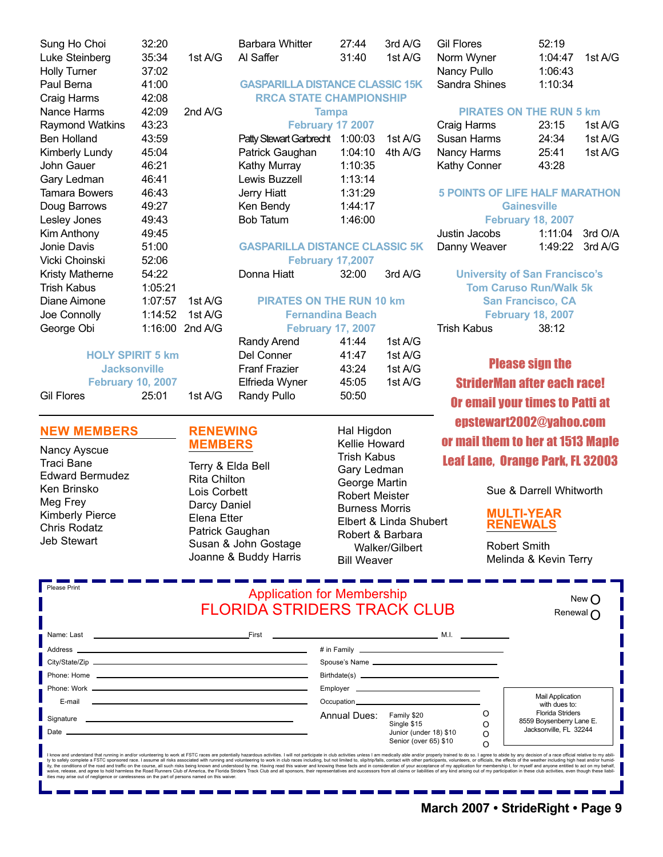| Sung Ho Choi           | 32:20   |                 |
|------------------------|---------|-----------------|
| Luke Steinberg         | 35:34   | 1st A/G         |
| Holly Turner           | 37:02   |                 |
| Paul Berna             | 41:00   |                 |
| Craig Harms            | 42:08   |                 |
| Nance Harms            | 42:09   | 2nd A/G         |
| Raymond Watkins        | 43:23   |                 |
| <b>Ben Holland</b>     | 43:59   |                 |
| Kimberly Lundy         | 45:04   |                 |
| John Gauer             | 46:21   |                 |
| Gary Ledman            | 46:41   |                 |
| Tamara Bowers          | 46:43   |                 |
| Doug Barrows           | 49:27   |                 |
| Lesley Jones           | 49:43   |                 |
| Kim Anthony            | 49:45   |                 |
| Jonie Davis            | 51:00   |                 |
| Vicki Choinski         | 52:06   |                 |
| <b>Kristy Matherne</b> | 54:22   |                 |
| Trish Kabus            | 1:05:21 |                 |
| Diane Aimone           | 1:07:57 | 1st A/G         |
| Joe Connolly           | 1:14:52 | 1st A/G         |
| George Obi             |         | 1:16:00 2nd A/G |
|                        |         |                 |

**HOLY SPIRIT 5 km Jacksonville**

**February 10, 2007** Gil Flores 25:01 1st A/G

#### **NEW MEMBERS**

Nancy Ayscue Traci Bane Edward Bermudez Ken Brinsko Meg Frey Kimberly Pierce Chris Rodatz Jeb Stewart

#### **RENEWING MEMBERS**

Terry & Elda Bell Rita Chilton Lois Corbett Darcy Daniel Elena Etter Patrick Gaughan Susan & John Gostage Joanne & Buddy Harris

Hal Higdon Kellie Howard Trish Kabus Gary Ledman George Martin Robert Meister Burness Morris Elbert & Linda Shubert Robert & Barbara Walker/Gilbert Bill Weaver

| Gil Flores                | 52:19                      |  |
|---------------------------|----------------------------|--|
| Norm Wyner<br>Nancy Pullo | 1:04:47 1st A/G<br>1:06:43 |  |
| Sandra Shines             | 1:10:34                    |  |

#### **PIRATES ON THE RUN 5 km**

| Craig Harms         | 23:15 | 1st A/G   |
|---------------------|-------|-----------|
| Susan Harms         | 24:34 | 1st A/G   |
| Nancy Harms         | 25:41 | 1st $A/G$ |
| <b>Kathy Conner</b> | 43:28 |           |

#### **5 POINTS OF LIFE HALF MARATHON**

**Gainesville**

**February 18, 2007**

|                                                    | Justin Jacobs | 1:11:04 3rd O/A |  |
|----------------------------------------------------|---------------|-----------------|--|
| <b>GASPARILLA DISTANCE CLASSIC 5K Danny Weaver</b> |               | 1:49:22 3rd A/G |  |

**University of San Francisco's Tom Caruso Run/Walk 5k San Francisco, CA February 18, 2007** Trish Kabus 38:12

Please sign the StriderMan after each race! Or email your times to Patti at epstewart2002@yahoo.com or mail them to her at 1513 Maple Leaf Lane, Orange Park, FL 32003

Sue & Darrell Whitworth

#### **MULTI-YEAR RENEWALS**

Robert Smith Melinda & Kevin Terry

| Please Print                                                                                                                                                                                                                                                                                                                                                                                                                                                                                                                                                                                                                                                                                                                                                                                                                                                                                                                                                                                                                          | <b>Application for Membership</b><br><b>FLORIDA STRIDERS TRACK CLUB</b>                                                                                                                                                              |              |                                                                                                               | New (<br>Renewal $\bigcap$ |                                                                               |
|---------------------------------------------------------------------------------------------------------------------------------------------------------------------------------------------------------------------------------------------------------------------------------------------------------------------------------------------------------------------------------------------------------------------------------------------------------------------------------------------------------------------------------------------------------------------------------------------------------------------------------------------------------------------------------------------------------------------------------------------------------------------------------------------------------------------------------------------------------------------------------------------------------------------------------------------------------------------------------------------------------------------------------------|--------------------------------------------------------------------------------------------------------------------------------------------------------------------------------------------------------------------------------------|--------------|---------------------------------------------------------------------------------------------------------------|----------------------------|-------------------------------------------------------------------------------|
|                                                                                                                                                                                                                                                                                                                                                                                                                                                                                                                                                                                                                                                                                                                                                                                                                                                                                                                                                                                                                                       |                                                                                                                                                                                                                                      |              |                                                                                                               |                            |                                                                               |
|                                                                                                                                                                                                                                                                                                                                                                                                                                                                                                                                                                                                                                                                                                                                                                                                                                                                                                                                                                                                                                       |                                                                                                                                                                                                                                      |              | # in Family 2008 2009 2010 2021 2022 2023 2024 2022 2023 2024 2022 2023 2024 2022 2023 2024 2022 2023 2024 20 |                            |                                                                               |
|                                                                                                                                                                                                                                                                                                                                                                                                                                                                                                                                                                                                                                                                                                                                                                                                                                                                                                                                                                                                                                       |                                                                                                                                                                                                                                      |              | Spouse's Name                                                                                                 |                            |                                                                               |
|                                                                                                                                                                                                                                                                                                                                                                                                                                                                                                                                                                                                                                                                                                                                                                                                                                                                                                                                                                                                                                       |                                                                                                                                                                                                                                      |              |                                                                                                               |                            |                                                                               |
|                                                                                                                                                                                                                                                                                                                                                                                                                                                                                                                                                                                                                                                                                                                                                                                                                                                                                                                                                                                                                                       |                                                                                                                                                                                                                                      |              |                                                                                                               |                            |                                                                               |
|                                                                                                                                                                                                                                                                                                                                                                                                                                                                                                                                                                                                                                                                                                                                                                                                                                                                                                                                                                                                                                       | E-mail <u>example and the contract of the contract of the contract of the contract of the contract of the contract of the contract of the contract of the contract of the contract of the contract of the contract of the contra</u> |              |                                                                                                               |                            | <b>Mail Application</b><br>with dues to:                                      |
| Date $\_\$                                                                                                                                                                                                                                                                                                                                                                                                                                                                                                                                                                                                                                                                                                                                                                                                                                                                                                                                                                                                                            |                                                                                                                                                                                                                                      | Annual Dues: | Family \$20<br>Single \$15<br>Junior (under 18) \$10<br>Senior (over 65) \$10                                 | O<br>O<br>O<br>$\circ$     | <b>Florida Striders</b><br>8559 Boysenberry Lane E.<br>Jacksonville, FL 32244 |
| I know and understand that running in and/or volunteering to work at FSTC races are potentially hazardous activities. I will not participate in club activities unless I am medically able and/or properly trained to do so. I<br>ty to safely complete a FSTC sponsored race. I assume all risks associated with running and volunteering to work in club races including, but not limited to, slip/trip/falls, contact with other participants, volunteers, or<br>ity, the conditions of the road and traffic on the course, all such risks being known and understood by me. Having read this waiver and knowing these facts and in consideration of your acceptance of my application for memb<br>waive, release, and agree to hold harmless the Road Runners Club of America, the Florida Striders Track Club and all sponsors, their representatives and successors from all claims or liabilities of any kind arising out of<br>ities may arise out of negligence or carelessness on the part of persons named on this waiver. |                                                                                                                                                                                                                                      |              |                                                                                                               |                            |                                                                               |

Barbara Whitter 27:44 3rd A/G Al Saffer 31:40 1st A/G

**GASPARILLA DISTANCE CLASSIC 15K RRCA STATE CHAMPIONSHIP Tampa February 17 2007** Patty Stewart Garbrecht 1:00:03 1st A/G Patrick Gaughan 1:04:10 4th A/G

**February 17,2007** Donna Hiatt 32:00 3rd A/G

**PIRATES ON THE RUN 10 km Fernandina Beach February 17, 2007** Randy Arend 41:44 1st A/G Del Conner 41:47 1st A/G Franf Frazier 43:24 1st A/G Elfrieda Wyner 45:05 1st A/G

Randy Pullo 50:50

Kathy Murray 1:10:35 Lewis Buzzell 1:13:14 Jerry Hiatt 1:31:29 Ken Bendy 1:44:17 Bob Tatum 1:46:00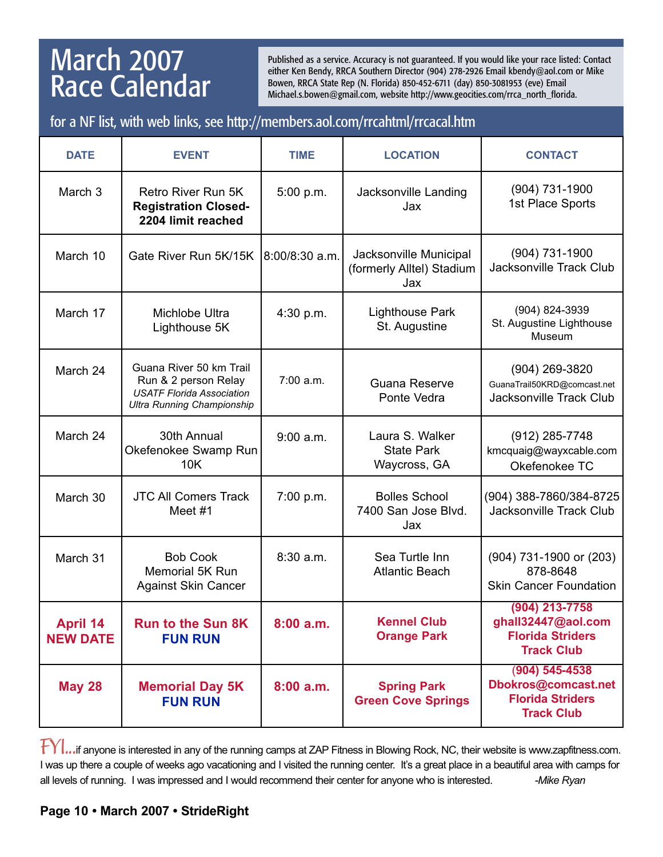# March 2007 Race Calendar

Published as a service. Accuracy is not guaranteed. If you would like your race listed: Contact either Ken Bendy, RRCA Southern Director (904) 278-2926 Email kbendy@aol.com or Mike Bowen, RRCA State Rep (N. Florida) 850-452-6711 (day) 850-3081953 (eve) Email Michael.s.bowen@gmail.com, website http://www.geocities.com/rrca\_north\_florida.

### for a NF list, with web links, see http://members.aol.com/rrcahtml/rrcacal.htm

| <b>DATE</b>                        | <b>EVENT</b>                                                                                                             | <b>TIME</b>    | <b>LOCATION</b>                                            | <b>CONTACT</b>                                                                            |
|------------------------------------|--------------------------------------------------------------------------------------------------------------------------|----------------|------------------------------------------------------------|-------------------------------------------------------------------------------------------|
| March 3                            | <b>Retro River Run 5K</b><br><b>Registration Closed-</b><br>2204 limit reached                                           | 5:00 p.m.      | Jacksonville Landing<br>Jax                                | (904) 731-1900<br>1st Place Sports                                                        |
| March 10                           | Gate River Run 5K/15K                                                                                                    | 8:00/8:30 a.m. | Jacksonville Municipal<br>(formerly Alltel) Stadium<br>Jax | (904) 731-1900<br><b>Jacksonville Track Club</b>                                          |
| March 17                           | Michlobe Ultra<br>Lighthouse 5K                                                                                          | 4:30 p.m.      | <b>Lighthouse Park</b><br>St. Augustine                    | (904) 824-3939<br>St. Augustine Lighthouse<br>Museum                                      |
| March 24                           | Guana River 50 km Trail<br>Run & 2 person Relay<br><b>USATF Florida Association</b><br><b>Ultra Running Championship</b> | 7:00 a.m.      | <b>Guana Reserve</b><br>Ponte Vedra                        | (904) 269-3820<br>GuanaTrail50KRD@comcast.net<br><b>Jacksonville Track Club</b>           |
| March 24                           | 30th Annual<br>Okefenokee Swamp Run<br>10K                                                                               | $9:00$ a.m.    | Laura S. Walker<br><b>State Park</b><br>Waycross, GA       | (912) 285-7748<br>kmcquaig@wayxcable.com<br>Okefenokee TC                                 |
| March 30                           | <b>JTC All Comers Track</b><br>Meet #1                                                                                   | 7:00 p.m.      | <b>Bolles School</b><br>7400 San Jose Blvd.<br>Jax         | (904) 388-7860/384-8725<br><b>Jacksonville Track Club</b>                                 |
| March 31                           | <b>Bob Cook</b><br><b>Memorial 5K Run</b><br><b>Against Skin Cancer</b>                                                  | 8:30 a.m.      | Sea Turtle Inn<br><b>Atlantic Beach</b>                    | (904) 731-1900 or (203)<br>878-8648<br><b>Skin Cancer Foundation</b>                      |
| <b>April 14</b><br><b>NEW DATE</b> | <b>Run to the Sun 8K</b><br><b>FUN RUN</b>                                                                               | 8:00a.m.       | <b>Kennel Club</b><br><b>Orange Park</b>                   | $(904)$ 213-7758<br>ghall32447@aol.com<br><b>Florida Striders</b><br><b>Track Club</b>    |
| <b>May 28</b>                      | <b>Memorial Day 5K</b><br><b>FUN RUN</b>                                                                                 | 8:00a.m.       | <b>Spring Park</b><br><b>Green Cove Springs</b>            | $(904) 545 - 4538$<br>Dbokros@comcast.net<br><b>Florida Striders</b><br><b>Track Club</b> |

 $\text{FVI}$ ...if anyone is interested in any of the running camps at ZAP Fitness in Blowing Rock, NC, their website is www.zapfitness.com. I was up there a couple of weeks ago vacationing and I visited the running center. It's a great place in a beautiful area with camps for all levels of running. I was impressed and I would recommend their center for anyone who is interested. *-Mike Ryan*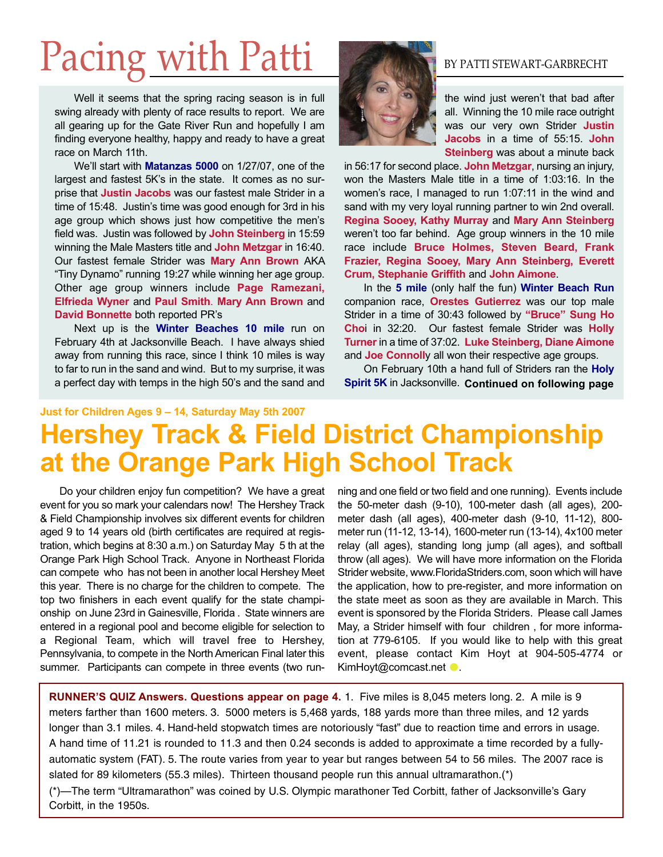# Pacing with Patti BY BY PATTI STEWART-GARBRECHT

Well it seems that the spring racing season is in full swing already with plenty of race results to report. We are all gearing up for the Gate River Run and hopefully I am finding everyone healthy, happy and ready to have a great race on March 11th.

We'll start with **Matanzas 5000** on 1/27/07, one of the largest and fastest 5K's in the state. It comes as no surprise that **Justin Jacobs** was our fastest male Strider in a time of 15:48. Justin's time was good enough for 3rd in his age group which shows just how competitive the men's field was. Justin was followed by **John Steinberg** in 15:59 winning the Male Masters title and **John Metzgar** in 16:40. Our fastest female Strider was **Mary Ann Brown** AKA "Tiny Dynamo" running 19:27 while winning her age group. Other age group winners include **Page Ramezani, Elfrieda Wyner** and **Paul Smith**. **Mary Ann Brown** and **David Bonnette** both reported PR's

Next up is the **Winter Beaches 10 mile** run on February 4th at Jacksonville Beach. I have always shied away from running this race, since I think 10 miles is way to far to run in the sand and wind. But to my surprise, it was a perfect day with temps in the high 50's and the sand and

the wind just weren't that bad after all. Winning the 10 mile race outright was our very own Strider **Justin Jacobs** in a time of 55:15. **John Steinberg** was about a minute back

in 56:17 for second place. **John Metzgar**, nursing an injury, won the Masters Male title in a time of 1:03:16. In the women's race, I managed to run 1:07:11 in the wind and sand with my very loyal running partner to win 2nd overall. **Regina Sooey, Kathy Murray** and **Mary Ann Steinberg** weren't too far behind. Age group winners in the 10 mile race include **Bruce Holmes, Steven Beard, Frank Frazier, Regina Sooey, Mary Ann Steinberg, Everett Crum, Stephanie Griffith** and **John Aimone**.

In the **5 mile** (only half the fun) **Winter Beach Run** companion race, **Orestes Gutierrez** was our top male Strider in a time of 30:43 followed by **"Bruce" Sung Ho Cho**i in 32:20. Our fastest female Strider was **Holly Turner** in a time of 37:02. **Luke Steinberg, Diane Aimone** and **Joe Connoll**y all won their respective age groups.

On February 10th a hand full of Striders ran the **Holy Spirit 5K** in Jacksonville. **Continued on following page**

#### **Just for Children Ages 9 – 14, Saturday May 5th 2007**

# **Hershey Track & Field District Championship at the Orange Park High School Track**

Do your children enjoy fun competition? We have a great event for you so mark your calendars now! The Hershey Track & Field Championship involves six different events for children aged 9 to 14 years old (birth certificates are required at registration, which begins at 8:30 a.m.) on Saturday May 5 th at the Orange Park High School Track. Anyone in Northeast Florida can compete who has not been in another local Hershey Meet this year. There is no charge for the children to compete. The top two finishers in each event qualify for the state championship on June 23rd in Gainesville, Florida . State winners are entered in a regional pool and become eligible for selection to a Regional Team, which will travel free to Hershey, Pennsylvania, to compete in the North American Final later this summer. Participants can compete in three events (two running and one field or two field and one running). Events include the 50-meter dash (9-10), 100-meter dash (all ages), 200 meter dash (all ages), 400-meter dash (9-10, 11-12), 800 meter run (11-12, 13-14), 1600-meter run (13-14), 4x100 meter relay (all ages), standing long jump (all ages), and softball throw (all ages). We will have more information on the Florida Strider website, www.FloridaStriders.com, soon which will have the application, how to pre-register, and more information on the state meet as soon as they are available in March. This event is sponsored by the Florida Striders. Please call James May, a Strider himself with four children , for more information at 779-6105. If you would like to help with this great event, please contact Kim Hoyt at 904-505-4774 or KimHoyt@comcast.net ●.

**RUNNER'S QUIZ Answers. Questions appear on page 4.** 1. Five miles is 8,045 meters long. 2. A mile is 9 meters farther than 1600 meters. 3. 5000 meters is 5,468 yards, 188 yards more than three miles, and 12 yards longer than 3.1 miles. 4. Hand-held stopwatch times are notoriously "fast" due to reaction time and errors in usage. A hand time of 11.21 is rounded to 11.3 and then 0.24 seconds is added to approximate a time recorded by a fullyautomatic system (FAT). 5. The route varies from year to year but ranges between 54 to 56 miles. The 2007 race is slated for 89 kilometers (55.3 miles). Thirteen thousand people run this annual ultramarathon.(\*)

(\*)—The term "Ultramarathon" was coined by U.S. Olympic marathoner Ted Corbitt, father of Jacksonville's Gary Corbitt, in the 1950s.